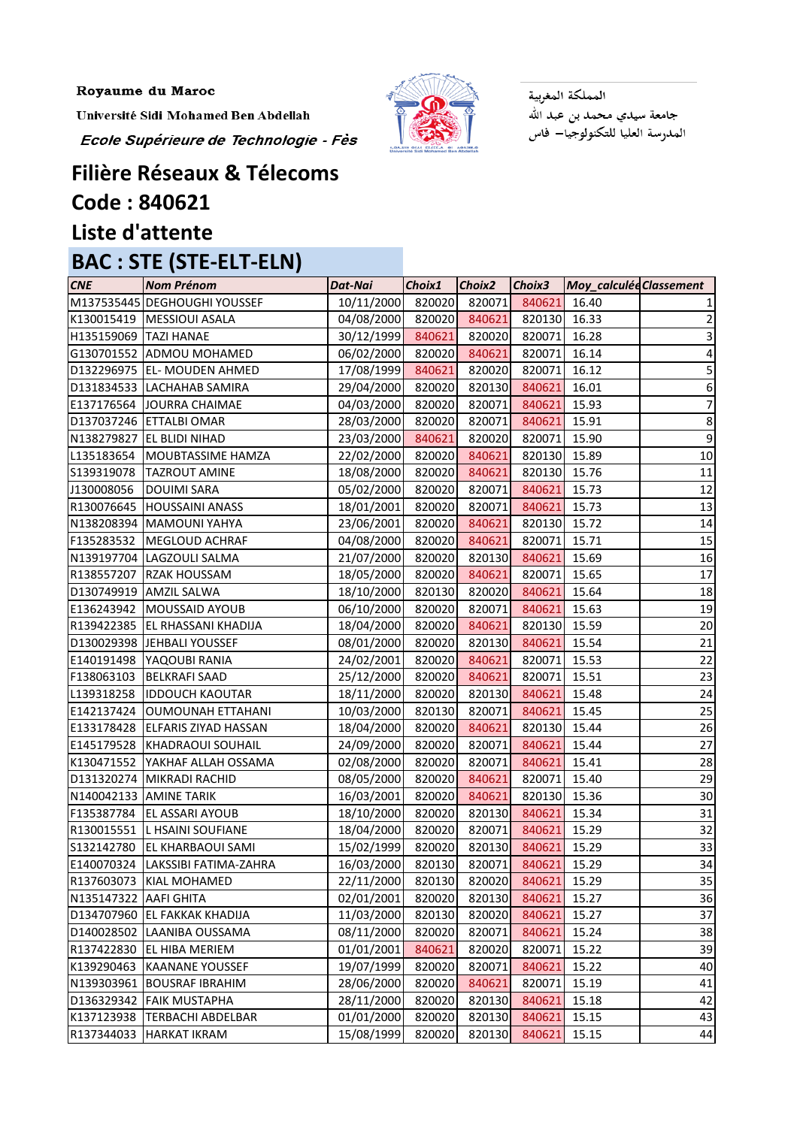Université Sidi Mohamed Ben Abdellah

Ecole Supérieure de Technologie - Fès



المملكة المغربية جامعة سيدي محمد بن عبد الله<br>المدرسة العليا للتكنولوجيا— فاس

## **Filière Réseaux & Télecoms Code : 840621**

## **Liste d'attente**

## **BAC : STE (STE-ELT-ELN)**

| <b>CNE</b>              | <b>Nom Prénom</b>            | Dat-Nai    | Choix1 | Choix2 | Choix3       | Moy_calculée Classement |                  |
|-------------------------|------------------------------|------------|--------|--------|--------------|-------------------------|------------------|
|                         | M137535445 DEGHOUGHI YOUSSEF | 10/11/2000 | 820020 | 820071 | 840621       | 16.40                   |                  |
|                         | K130015419   MESSIOUI ASALA  | 04/08/2000 | 820020 | 840621 | 820130       | 16.33                   |                  |
| H135159069   TAZI HANAE |                              | 30/12/1999 | 840621 | 820020 | 820071       | 16.28                   | 3                |
|                         | G130701552 ADMOU MOHAMED     | 06/02/2000 | 820020 | 840621 | 820071       | 16.14                   | 4                |
|                         | D132296975 EL- MOUDEN AHMED  | 17/08/1999 | 840621 | 820020 | 820071       | 16.12                   | 5                |
|                         | D131834533 LACHAHAB SAMIRA   | 29/04/2000 | 820020 | 820130 | 840621       | 16.01                   | 6                |
| E137176564              | JOURRA CHAIMAE               | 04/03/2000 | 820020 | 820071 | 840621       | 15.93                   | 7                |
|                         | D137037246 ETTALBI OMAR      | 28/03/2000 | 820020 | 820071 | 840621       | 15.91                   | 8                |
| N138279827              | <b>EL BLIDI NIHAD</b>        | 23/03/2000 | 840621 | 820020 | 820071       | 15.90                   | $\boldsymbol{9}$ |
| L135183654              | MOUBTASSIME HAMZA            | 22/02/2000 | 820020 | 840621 | 820130       | 15.89                   | 10               |
| S139319078              | <b>TAZROUT AMINE</b>         | 18/08/2000 | 820020 | 840621 | 820130       | 15.76                   | 11               |
| J130008056              | <b>DOUIMI SARA</b>           | 05/02/2000 | 820020 | 820071 | 840621       | 15.73                   | 12               |
| R130076645              | <b>HOUSSAINI ANASS</b>       | 18/01/2001 | 820020 | 820071 | 840621       | 15.73                   | 13               |
|                         | N138208394 MAMOUNI YAHYA     | 23/06/2001 | 820020 | 840621 | 820130       | 15.72                   | 14               |
| F135283532              | MEGLOUD ACHRAF               | 04/08/2000 | 820020 | 840621 | 820071       | 15.71                   | 15               |
|                         | N139197704 LAGZOULI SALMA    | 21/07/2000 | 820020 | 820130 | 840621       | 15.69                   | 16               |
| R138557207              | <b>RZAK HOUSSAM</b>          | 18/05/2000 | 820020 | 840621 | 820071       | 15.65                   | 17               |
|                         | D130749919 AMZIL SALWA       | 18/10/2000 | 820130 | 820020 | 840621       | 15.64                   | 18               |
|                         | E136243942   MOUSSAID AYOUB  | 06/10/2000 | 820020 | 820071 | 840621       | 15.63                   | 19               |
| R139422385              | <b>EL RHASSANI KHADIJA</b>   | 18/04/2000 | 820020 | 840621 | 820130       | 15.59                   | 20               |
| D130029398              | JEHBALI YOUSSEF              | 08/01/2000 | 820020 | 820130 | 840621       | 15.54                   | 21               |
| E140191498              | YAQOUBI RANIA                | 24/02/2001 | 820020 | 840621 | 820071       | 15.53                   | 22               |
| F138063103              | <b>BELKRAFI SAAD</b>         | 25/12/2000 | 820020 | 840621 | 820071       | 15.51                   | 23               |
| L139318258              | <b>IDDOUCH KAOUTAR</b>       | 18/11/2000 | 820020 | 820130 | 840621       | 15.48                   | 24               |
| E142137424              | <b>OUMOUNAH ETTAHANI</b>     | 10/03/2000 | 820130 | 820071 | 840621       | 15.45                   | 25               |
| E133178428              | <b>ELFARIS ZIYAD HASSAN</b>  | 18/04/2000 | 820020 | 840621 | 820130       | 15.44                   | 26               |
| E145179528              | <b>KHADRAOUI SOUHAIL</b>     | 24/09/2000 | 820020 | 820071 | 840621       | 15.44                   | 27               |
| K130471552              | YAKHAF ALLAH OSSAMA          | 02/08/2000 | 820020 | 820071 | 840621       | 15.41                   | 28               |
| D131320274              | MIKRADI RACHID               | 08/05/2000 | 820020 | 840621 | 820071       | 15.40                   | 29               |
|                         | N140042133 AMINE TARIK       | 16/03/2001 | 820020 | 840621 | 820130 15.36 |                         | 30               |
| F135387784              | <b>EL ASSARI AYOUB</b>       | 18/10/2000 | 820020 | 820130 | 840621       | 15.34                   | 31               |
| R130015551              | <b>L HSAINI SOUFIANE</b>     | 18/04/2000 | 820020 | 820071 | 840621       | 15.29                   | 32               |
| S132142780              | <b>EL KHARBAOUI SAMI</b>     | 15/02/1999 | 820020 | 820130 | 840621       | 15.29                   | 33               |
| E140070324              | LAKSSIBI FATIMA-ZAHRA        | 16/03/2000 | 820130 | 820071 | 840621       | 15.29                   | 34               |
| R137603073              | KIAL MOHAMED                 | 22/11/2000 | 820130 | 820020 | 840621       | 15.29                   | 35               |
| N135147322              | <b>AAFI GHITA</b>            | 02/01/2001 | 820020 | 820130 | 840621       | 15.27                   | 36               |
| D134707960              | <b>EL FAKKAK KHADIJA</b>     | 11/03/2000 | 820130 | 820020 | 840621       | 15.27                   | 37               |
| D140028502              | LAANIBA OUSSAMA              | 08/11/2000 | 820020 | 820071 | 840621       | 15.24                   | 38               |
| R137422830              | <b>EL HIBA MERIEM</b>        | 01/01/2001 | 840621 | 820020 | 820071       | 15.22                   | 39               |
| K139290463              | <b>KAANANE YOUSSEF</b>       | 19/07/1999 | 820020 | 820071 | 840621       | 15.22                   | 40               |
| N139303961              | <b>BOUSRAF IBRAHIM</b>       | 28/06/2000 | 820020 | 840621 | 820071       | 15.19                   | 41               |
| D136329342              | <b>FAIK MUSTAPHA</b>         | 28/11/2000 | 820020 | 820130 | 840621       | 15.18                   | 42               |
| K137123938              | <b>TERBACHI ABDELBAR</b>     | 01/01/2000 | 820020 | 820130 | 840621       | 15.15                   | 43               |
| R137344033              | HARKAT IKRAM                 | 15/08/1999 | 820020 | 820130 | 840621       | 15.15                   | 44               |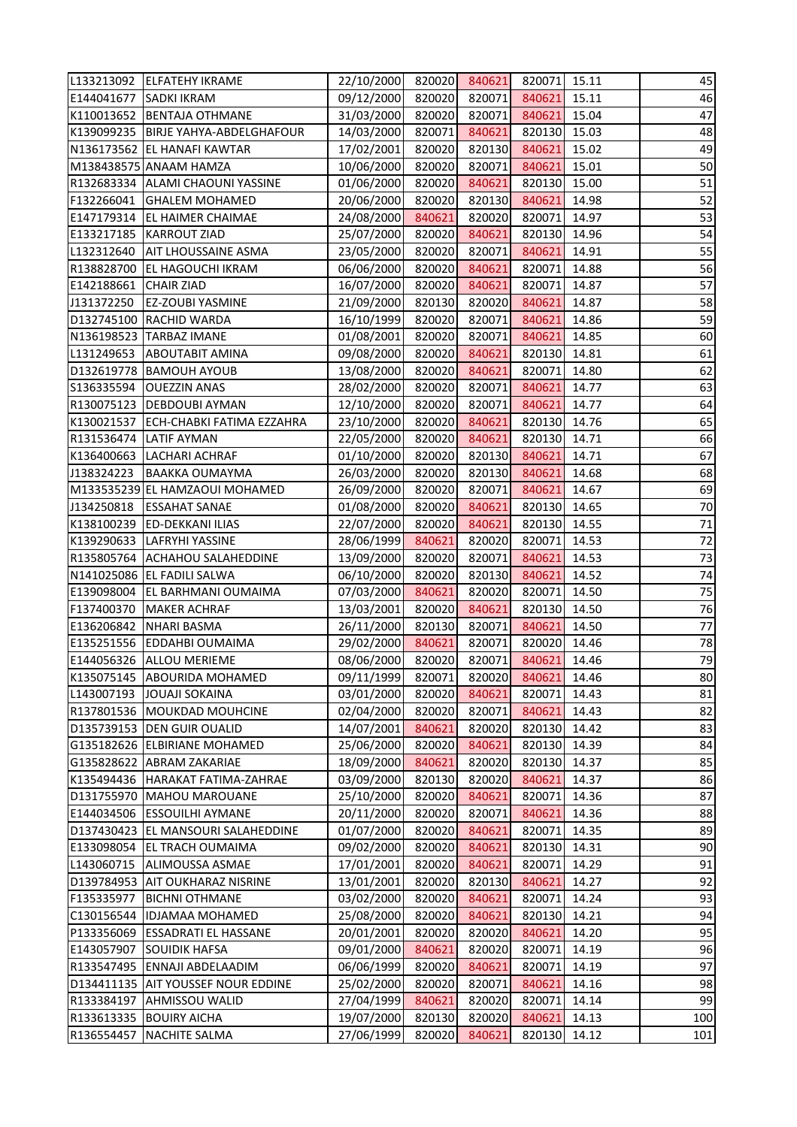| L133213092 | <b>ELFATEHY IKRAME</b>           | 22/10/2000 | 820020 | 840621 | 820071       | 15.11 | 45  |
|------------|----------------------------------|------------|--------|--------|--------------|-------|-----|
| E144041677 | <b>SADKI IKRAM</b>               | 09/12/2000 | 820020 | 820071 | 840621       | 15.11 | 46  |
| K110013652 | <b>BENTAJA OTHMANE</b>           | 31/03/2000 | 820020 | 820071 | 840621       | 15.04 | 47  |
| K139099235 | BIRJE YAHYA-ABDELGHAFOUR         | 14/03/2000 | 820071 | 840621 | 820130       | 15.03 | 48  |
|            | N136173562 EL HANAFI KAWTAR      | 17/02/2001 | 820020 | 820130 | 840621       | 15.02 | 49  |
|            | M138438575 ANAAM HAMZA           | 10/06/2000 | 820020 | 820071 | 840621       | 15.01 | 50  |
| R132683334 | <b>ALAMI CHAOUNI YASSINE</b>     | 01/06/2000 | 820020 | 840621 | 820130       | 15.00 | 51  |
| F132266041 | <b>GHALEM MOHAMED</b>            | 20/06/2000 | 820020 | 820130 | 840621       | 14.98 | 52  |
| E147179314 | <b>EL HAIMER CHAIMAE</b>         | 24/08/2000 | 840621 | 820020 | 820071       | 14.97 | 53  |
| E133217185 | <b>KARROUT ZIAD</b>              | 25/07/2000 | 820020 | 840621 | 820130       | 14.96 | 54  |
| L132312640 | <b>AIT LHOUSSAINE ASMA</b>       | 23/05/2000 | 820020 | 820071 | 840621       | 14.91 | 55  |
| R138828700 | <b>EL HAGOUCHI IKRAM</b>         | 06/06/2000 | 820020 | 840621 | 820071       | 14.88 | 56  |
| E142188661 | <b>CHAIR ZIAD</b>                | 16/07/2000 | 820020 | 840621 | 820071       | 14.87 | 57  |
| J131372250 | <b>EZ-ZOUBI YASMINE</b>          | 21/09/2000 | 820130 | 820020 | 840621       | 14.87 | 58  |
| D132745100 | <b>RACHID WARDA</b>              | 16/10/1999 | 820020 | 820071 | 840621       | 14.86 | 59  |
| N136198523 | <b>TARBAZ IMANE</b>              | 01/08/2001 | 820020 | 820071 | 840621       | 14.85 | 60  |
| L131249653 | <b>ABOUTABIT AMINA</b>           | 09/08/2000 | 820020 | 840621 | 820130       | 14.81 | 61  |
| D132619778 | <b>BAMOUH AYOUB</b>              | 13/08/2000 | 820020 | 840621 | 820071       | 14.80 | 62  |
| S136335594 | <b>OUEZZIN ANAS</b>              | 28/02/2000 | 820020 | 820071 | 840621       | 14.77 | 63  |
| R130075123 | <b>DEBDOUBI AYMAN</b>            | 12/10/2000 | 820020 | 820071 | 840621       | 14.77 | 64  |
| K130021537 | <b>ECH-CHABKI FATIMA EZZAHRA</b> | 23/10/2000 | 820020 | 840621 | 820130       | 14.76 | 65  |
| R131536474 | <b>LATIF AYMAN</b>               | 22/05/2000 | 820020 | 840621 | 820130       | 14.71 | 66  |
| K136400663 | LACHARI ACHRAF                   | 01/10/2000 | 820020 | 820130 | 840621       | 14.71 | 67  |
| J138324223 | <b>BAAKKA OUMAYMA</b>            | 26/03/2000 | 820020 | 820130 | 840621       | 14.68 | 68  |
|            | M133535239 EL HAMZAOUI MOHAMED   | 26/09/2000 | 820020 | 820071 | 840621       | 14.67 | 69  |
| J134250818 | <b>ESSAHAT SANAE</b>             | 01/08/2000 | 820020 | 840621 | 820130       | 14.65 | 70  |
| K138100239 | <b>ED-DEKKANI ILIAS</b>          | 22/07/2000 | 820020 | 840621 | 820130       | 14.55 | 71  |
| K139290633 | <b>LAFRYHI YASSINE</b>           | 28/06/1999 | 840621 | 820020 | 820071       | 14.53 | 72  |
| R135805764 | <b>ACHAHOU SALAHEDDINE</b>       | 13/09/2000 | 820020 | 820071 | 840621       | 14.53 | 73  |
| N141025086 | <b>EL FADILI SALWA</b>           | 06/10/2000 | 820020 | 820130 | 840621       | 14.52 | 74  |
|            | E139098004 EL BARHMANI OUMAIMA   | 07/03/2000 | 840621 | 820020 | 820071       | 14.50 | 75  |
| F137400370 | <b>MAKER ACHRAF</b>              | 13/03/2001 | 820020 | 840621 | 820130 14.50 |       | 76  |
| E136206842 | <b>NHARI BASMA</b>               | 26/11/2000 | 820130 | 820071 | 840621       | 14.50 | 77  |
| E135251556 | <b>EDDAHBI OUMAIMA</b>           | 29/02/2000 | 840621 | 820071 | 820020       | 14.46 | 78  |
| E144056326 | <b>ALLOU MERIEME</b>             | 08/06/2000 | 820020 | 820071 | 840621       | 14.46 | 79  |
| K135075145 | <b>ABOURIDA MOHAMED</b>          | 09/11/1999 | 820071 | 820020 | 840621       | 14.46 | 80  |
| L143007193 | <b>JOUAJI SOKAINA</b>            | 03/01/2000 | 820020 | 840621 | 820071       | 14.43 | 81  |
| R137801536 | <b>MOUKDAD MOUHCINE</b>          | 02/04/2000 | 820020 | 820071 | 840621       | 14.43 | 82  |
| D135739153 | <b>DEN GUIR OUALID</b>           | 14/07/2001 | 840621 | 820020 | 820130       | 14.42 | 83  |
| G135182626 | <b>ELBIRIANE MOHAMED</b>         | 25/06/2000 | 820020 | 840621 | 820130       | 14.39 | 84  |
| G135828622 | <b>ABRAM ZAKARIAE</b>            | 18/09/2000 | 840621 | 820020 | 820130       | 14.37 | 85  |
| K135494436 | HARAKAT FATIMA-ZAHRAE            | 03/09/2000 | 820130 | 820020 | 840621       | 14.37 | 86  |
| D131755970 | MAHOU MAROUANE                   | 25/10/2000 | 820020 | 840621 | 820071       | 14.36 | 87  |
| E144034506 | <b>ESSOUILHI AYMANE</b>          | 20/11/2000 | 820020 | 820071 | 840621       | 14.36 | 88  |
| D137430423 | EL MANSOURI SALAHEDDINE          | 01/07/2000 | 820020 | 840621 | 820071       | 14.35 | 89  |
| E133098054 | <b>EL TRACH OUMAIMA</b>          | 09/02/2000 | 820020 | 840621 | 820130       | 14.31 | 90  |
| L143060715 | ALIMOUSSA ASMAE                  | 17/01/2001 | 820020 | 840621 | 820071       | 14.29 | 91  |
| D139784953 | <b>AIT OUKHARAZ NISRINE</b>      | 13/01/2001 | 820020 | 820130 | 840621       | 14.27 | 92  |
| F135335977 | <b>BICHNI OTHMANE</b>            | 03/02/2000 | 820020 | 840621 | 820071       | 14.24 | 93  |
| C130156544 | <b>IDJAMAA MOHAMED</b>           | 25/08/2000 | 820020 | 840621 | 820130       | 14.21 | 94  |
| P133356069 | <b>ESSADRATI EL HASSANE</b>      | 20/01/2001 | 820020 | 820020 | 840621       | 14.20 | 95  |
| E143057907 | <b>SOUIDIK HAFSA</b>             | 09/01/2000 | 840621 | 820020 | 820071       | 14.19 | 96  |
| R133547495 | ENNAJI ABDELAADIM                | 06/06/1999 | 820020 | 840621 | 820071       | 14.19 | 97  |
| D134411135 | <b>AIT YOUSSEF NOUR EDDINE</b>   | 25/02/2000 | 820020 | 820071 | 840621       | 14.16 | 98  |
| R133384197 | <b>AHMISSOU WALID</b>            | 27/04/1999 | 840621 | 820020 | 820071       | 14.14 | 99  |
| R133613335 | <b>BOUIRY AICHA</b>              | 19/07/2000 | 820130 | 820020 | 840621       | 14.13 | 100 |
| R136554457 | <b>NACHITE SALMA</b>             | 27/06/1999 | 820020 | 840621 | 820130       | 14.12 | 101 |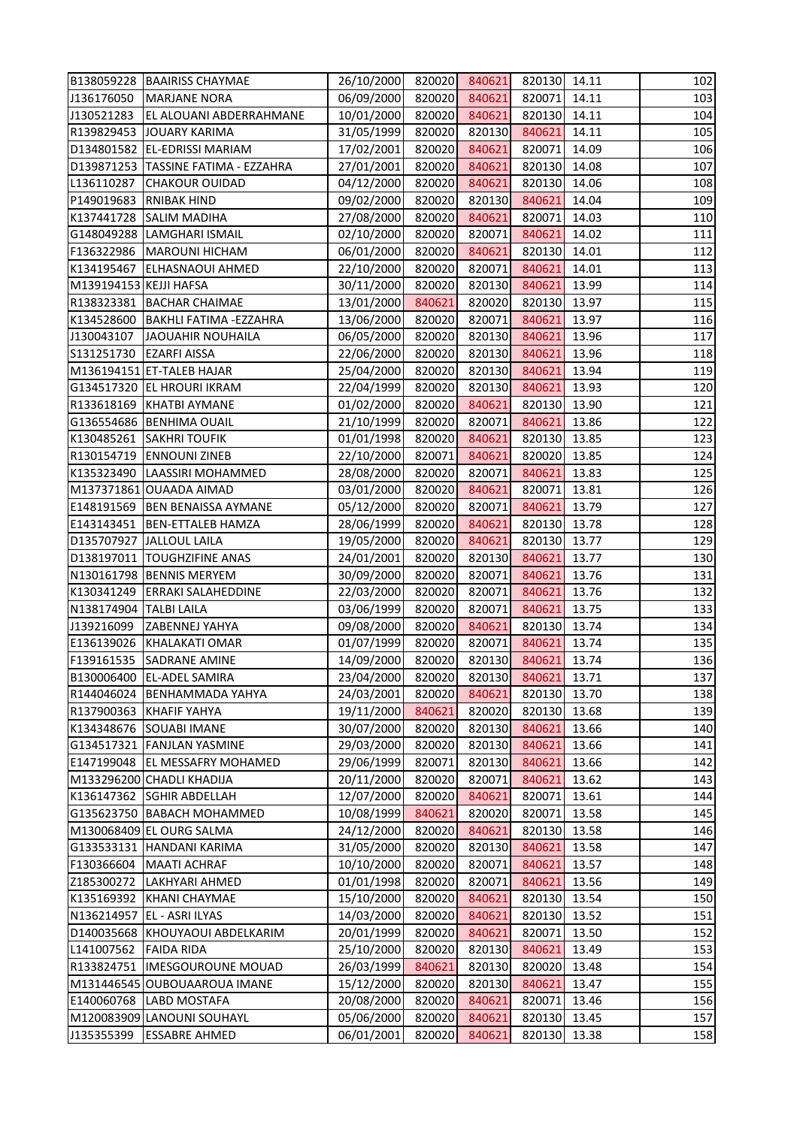|                        | B138059228 BAAIRISS CHAYMAE          | 26/10/2000 | 820020 | 840621 | 820130 14.11 |       | 102 |
|------------------------|--------------------------------------|------------|--------|--------|--------------|-------|-----|
| J136176050             | <b>MARJANE NORA</b>                  | 06/09/2000 | 820020 | 840621 | 820071       | 14.11 | 103 |
| J130521283             | <b>EL ALOUANI ABDERRAHMANE</b>       | 10/01/2000 | 820020 | 840621 | 820130       | 14.11 | 104 |
| R139829453             | JOUARY KARIMA                        | 31/05/1999 | 820020 | 820130 | 840621       | 14.11 | 105 |
|                        | D134801582 EL-EDRISSI MARIAM         | 17/02/2001 | 820020 | 840621 | 820071       | 14.09 | 106 |
|                        | D139871253 TASSINE FATIMA - EZZAHRA  | 27/01/2001 | 820020 | 840621 | 820130       | 14.08 | 107 |
| L136110287             | <b>CHAKOUR OUIDAD</b>                | 04/12/2000 | 820020 | 840621 | 820130       | 14.06 | 108 |
| P149019683             | <b>RNIBAK HIND</b>                   | 09/02/2000 | 820020 | 820130 | 840621       | 14.04 | 109 |
| K137441728             | <b>SALIM MADIHA</b>                  | 27/08/2000 | 820020 | 840621 | 820071       | 14.03 | 110 |
|                        | G148049288 LAMGHARI ISMAIL           | 02/10/2000 | 820020 | 820071 | 840621       | 14.02 | 111 |
|                        | F136322986   MAROUNI HICHAM          | 06/01/2000 | 820020 | 840621 | 820130       | 14.01 | 112 |
| K134195467             | <b>ELHASNAOUI AHMED</b>              | 22/10/2000 | 820020 | 820071 | 840621       | 14.01 | 113 |
| M139194153 KEJJI HAFSA |                                      | 30/11/2000 | 820020 | 820130 | 840621       | 13.99 | 114 |
|                        | R138323381 BACHAR CHAIMAE            | 13/01/2000 | 840621 | 820020 | 820130       | 13.97 | 115 |
|                        | K134528600   BAKHLI FATIMA - EZZAHRA | 13/06/2000 | 820020 | 820071 | 840621       | 13.97 | 116 |
| J130043107             | JAOUAHIR NOUHAILA                    | 06/05/2000 | 820020 | 820130 | 840621       | 13.96 | 117 |
| S131251730             | <b>EZARFI AISSA</b>                  | 22/06/2000 | 820020 | 820130 | 840621       | 13.96 | 118 |
|                        | M136194151 ET-TALEB HAJAR            | 25/04/2000 | 820020 | 820130 | 840621       | 13.94 | 119 |
|                        | G134517320 EL HROURI IKRAM           | 22/04/1999 | 820020 | 820130 | 840621       | 13.93 | 120 |
| R133618169             | KHATBI AYMANE                        | 01/02/2000 | 820020 | 840621 | 820130       | 13.90 | 121 |
|                        | G136554686 BENHIMA OUAIL             | 21/10/1999 | 820020 | 820071 | 840621       | 13.86 | 122 |
| K130485261             | <b>SAKHRI TOUFIK</b>                 | 01/01/1998 | 820020 | 840621 | 820130       | 13.85 | 123 |
| R130154719             | <b>ENNOUNI ZINEB</b>                 | 22/10/2000 | 820071 | 840621 | 820020       | 13.85 | 124 |
| K135323490             | LAASSIRI MOHAMMED                    | 28/08/2000 | 820020 | 820071 | 840621       | 13.83 | 125 |
|                        | M137371861 OUAADA AIMAD              | 03/01/2000 | 820020 | 840621 | 820071       | 13.81 | 126 |
| E148191569             | <b>BEN BENAISSA AYMANE</b>           | 05/12/2000 | 820020 | 820071 | 840621       | 13.79 | 127 |
| E143143451             | <b>BEN-ETTALEB HAMZA</b>             | 28/06/1999 | 820020 | 840621 | 820130       | 13.78 | 128 |
| D135707927             | JALLOUL LAILA                        | 19/05/2000 | 820020 | 840621 | 820130       | 13.77 | 129 |
|                        | D138197011  TOUGHZIFINE ANAS         | 24/01/2001 | 820020 | 820130 | 840621       | 13.77 | 130 |
|                        | N130161798 BENNIS MERYEM             | 30/09/2000 | 820020 | 820071 | 840621       | 13.76 | 131 |
|                        | K130341249 ERRAKI SALAHEDDINE        | 22/03/2000 | 820020 | 820071 | 840621       | 13.76 | 132 |
| N138174904 TALBI LAILA |                                      | 03/06/1999 | 820020 | 820071 | 840621       | 13.75 | 133 |
| J139216099             | ZABENNEJ YAHYA                       | 09/08/2000 | 820020 | 840621 | 820130       | 13.74 | 134 |
| E136139026             | KHALAKATI OMAR                       | 01/07/1999 | 820020 | 820071 | 840621       | 13.74 | 135 |
| F139161535             | <b>SADRANE AMINE</b>                 | 14/09/2000 | 820020 | 820130 | 840621       | 13.74 | 136 |
| B130006400             | <b>EL-ADEL SAMIRA</b>                | 23/04/2000 | 820020 | 820130 | 840621       | 13.71 | 137 |
| R144046024             | <b>BENHAMMADA YAHYA</b>              | 24/03/2001 | 820020 | 840621 | 820130       | 13.70 | 138 |
| R137900363             | <b>KHAFIF YAHYA</b>                  | 19/11/2000 | 840621 | 820020 | 820130       | 13.68 | 139 |
| K134348676             | <b>SOUABI IMANE</b>                  | 30/07/2000 | 820020 | 820130 | 840621       | 13.66 | 140 |
| G134517321             | <b>FANJLAN YASMINE</b>               | 29/03/2000 | 820020 | 820130 | 840621       | 13.66 | 141 |
| E147199048             | <b>EL MESSAFRY MOHAMED</b>           | 29/06/1999 | 820071 | 820130 | 840621       | 13.66 | 142 |
|                        | M133296200 CHADLI KHADIJA            | 20/11/2000 | 820020 | 820071 | 840621       | 13.62 | 143 |
| K136147362             | <b>SGHIR ABDELLAH</b>                | 12/07/2000 | 820020 | 840621 | 820071       | 13.61 | 144 |
| G135623750             | <b>BABACH MOHAMMED</b>               | 10/08/1999 | 840621 | 820020 | 820071       | 13.58 | 145 |
|                        | M130068409 EL OURG SALMA             | 24/12/2000 | 820020 | 840621 | 820130       | 13.58 | 146 |
| G133533131             | HANDANI KARIMA                       | 31/05/2000 | 820020 | 820130 | 840621       | 13.58 | 147 |
| F130366604             | <b>MAATI ACHRAF</b>                  | 10/10/2000 | 820020 | 820071 | 840621       | 13.57 | 148 |
| Z185300272             | LAKHYARI AHMED                       | 01/01/1998 | 820020 | 820071 | 840621       | 13.56 | 149 |
| K135169392             | <b>KHANI CHAYMAE</b>                 | 15/10/2000 | 820020 | 840621 | 820130       | 13.54 | 150 |
| N136214957             | <b>EL - ASRI ILYAS</b>               | 14/03/2000 | 820020 | 840621 | 820130       | 13.52 | 151 |
| D140035668             | KHOUYAOUI ABDELKARIM                 | 20/01/1999 | 820020 | 840621 | 820071       | 13.50 | 152 |
| L141007562             | <b>FAIDA RIDA</b>                    | 25/10/2000 | 820020 | 820130 | 840621       | 13.49 | 153 |
| R133824751             | <b>IMESGOUROUNE MOUAD</b>            | 26/03/1999 | 840621 | 820130 | 820020       | 13.48 | 154 |
|                        | M131446545 OUBOUAAROUA IMANE         | 15/12/2000 | 820020 | 820130 | 840621       | 13.47 | 155 |
| E140060768             | LABD MOSTAFA                         | 20/08/2000 | 820020 | 840621 | 820071       | 13.46 | 156 |
|                        | M120083909 LANOUNI SOUHAYL           | 05/06/2000 | 820020 | 840621 | 820130       | 13.45 | 157 |
| J135355399             | <b>ESSABRE AHMED</b>                 | 06/01/2001 | 820020 | 840621 | 820130       | 13.38 | 158 |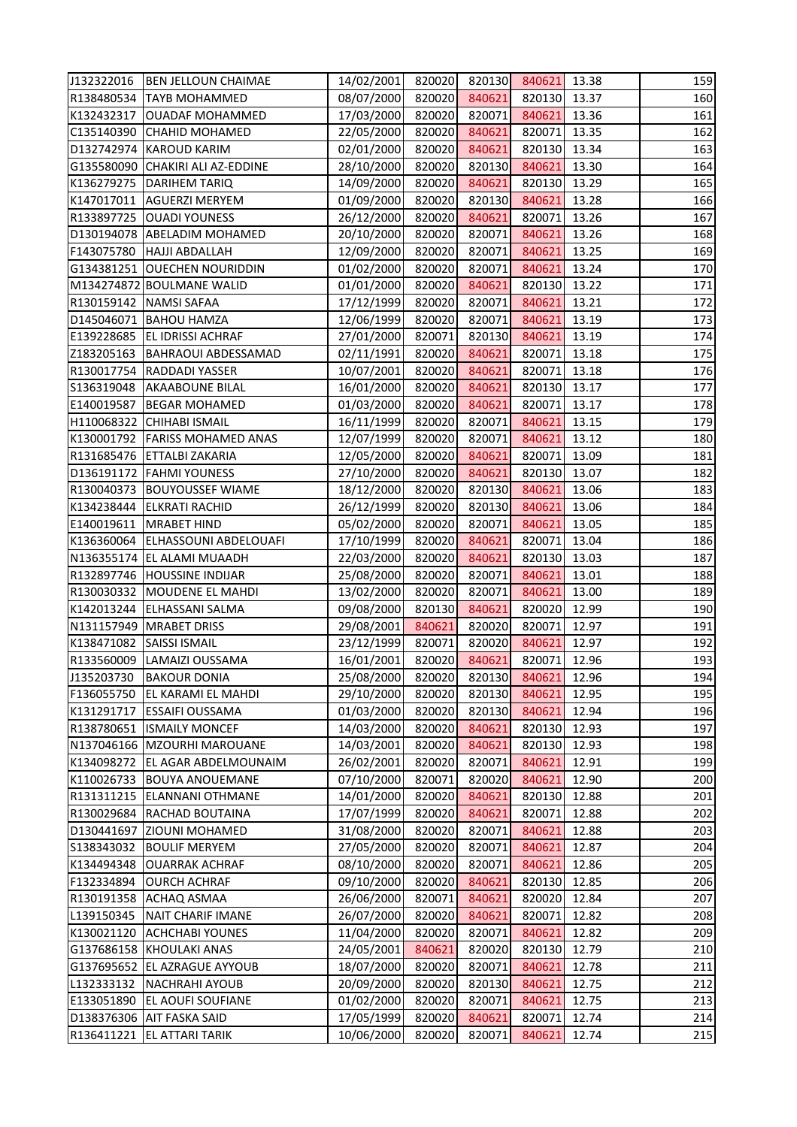| J132322016 | <b>BEN JELLOUN CHAIMAE</b>       | 14/02/2001 | 820020 | 820130 | 840621       | 13.38 | 159 |
|------------|----------------------------------|------------|--------|--------|--------------|-------|-----|
| R138480534 | <b>TAYB MOHAMMED</b>             | 08/07/2000 | 820020 | 840621 | 820130 13.37 |       | 160 |
| K132432317 | <b>OUADAF MOHAMMED</b>           | 17/03/2000 | 820020 | 820071 | 840621       | 13.36 | 161 |
| C135140390 | <b>CHAHID MOHAMED</b>            | 22/05/2000 | 820020 | 840621 | 820071       | 13.35 | 162 |
| D132742974 | <b>KAROUD KARIM</b>              | 02/01/2000 | 820020 | 840621 | 820130       | 13.34 | 163 |
|            | G135580090 CHAKIRI ALI AZ-EDDINE | 28/10/2000 | 820020 | 820130 | 840621       | 13.30 | 164 |
| K136279275 | <b>DARIHEM TARIQ</b>             | 14/09/2000 | 820020 | 840621 | 820130       | 13.29 | 165 |
| K147017011 | <b>AGUERZI MERYEM</b>            | 01/09/2000 | 820020 | 820130 | 840621       | 13.28 | 166 |
| R133897725 | <b>OUADI YOUNESS</b>             | 26/12/2000 | 820020 | 840621 | 820071       | 13.26 | 167 |
|            | D130194078 ABELADIM MOHAMED      | 20/10/2000 | 820020 | 820071 | 840621       | 13.26 | 168 |
| F143075780 | HAJJI ABDALLAH                   | 12/09/2000 | 820020 | 820071 | 840621       | 13.25 | 169 |
|            | G134381251 OUECHEN NOURIDDIN     | 01/02/2000 | 820020 | 820071 | 840621       | 13.24 | 170 |
|            | M134274872 BOULMANE WALID        | 01/01/2000 | 820020 | 840621 | 820130       | 13.22 | 171 |
|            | R130159142   NAMSI SAFAA         | 17/12/1999 | 820020 | 820071 | 840621       | 13.21 | 172 |
|            | D145046071   BAHOU HAMZA         | 12/06/1999 | 820020 | 820071 | 840621       | 13.19 | 173 |
| E139228685 | <b>EL IDRISSI ACHRAF</b>         | 27/01/2000 | 820071 | 820130 | 840621       | 13.19 | 174 |
| Z183205163 | <b>BAHRAOUI ABDESSAMAD</b>       | 02/11/1991 | 820020 | 840621 | 820071       | 13.18 | 175 |
| R130017754 | <b>RADDADI YASSER</b>            | 10/07/2001 | 820020 | 840621 | 820071       | 13.18 | 176 |
| S136319048 | <b>AKAABOUNE BILAL</b>           | 16/01/2000 | 820020 | 840621 | 820130       | 13.17 | 177 |
| E140019587 | <b>BEGAR MOHAMED</b>             | 01/03/2000 | 820020 | 840621 | 820071       | 13.17 | 178 |
|            | H110068322 CHIHABI ISMAIL        | 16/11/1999 | 820020 | 820071 | 840621       | 13.15 | 179 |
| K130001792 | <b>FARISS MOHAMED ANAS</b>       | 12/07/1999 | 820020 | 820071 | 840621       | 13.12 | 180 |
| R131685476 | <b>ETTALBI ZAKARIA</b>           | 12/05/2000 | 820020 | 840621 | 820071       | 13.09 | 181 |
|            | D136191172   FAHMI YOUNESS       | 27/10/2000 | 820020 | 840621 | 820130       | 13.07 | 182 |
| R130040373 | <b>BOUYOUSSEF WIAME</b>          | 18/12/2000 | 820020 | 820130 | 840621       | 13.06 | 183 |
| K134238444 | <b>ELKRATI RACHID</b>            | 26/12/1999 | 820020 | 820130 | 840621       | 13.06 | 184 |
| E140019611 | <b>MRABET HIND</b>               | 05/02/2000 | 820020 | 820071 | 840621       | 13.05 | 185 |
| K136360064 | ELHASSOUNI ABDELOUAFI            | 17/10/1999 | 820020 | 840621 | 820071       | 13.04 | 186 |
|            | N136355174 EL ALAMI MUAADH       | 22/03/2000 | 820020 | 840621 | 820130       | 13.03 | 187 |
|            | R132897746 HOUSSINE INDIJAR      | 25/08/2000 | 820020 | 820071 | 840621       | 13.01 | 188 |
|            | R130030332 MOUDENE EL MAHDI      | 13/02/2000 | 820020 | 820071 | 840621       | 13.00 | 189 |
| K142013244 | <b>ELHASSANI SALMA</b>           | 09/08/2000 | 820130 | 840621 | 820020       | 12.99 | 190 |
| N131157949 | <b>MRABET DRISS</b>              | 29/08/2001 | 840621 | 820020 | 820071       | 12.97 | 191 |
| K138471082 | <b>SAISSI ISMAIL</b>             | 23/12/1999 | 820071 | 820020 | 840621       | 12.97 | 192 |
| R133560009 | LAMAIZI OUSSAMA                  | 16/01/2001 | 820020 | 840621 | 820071       | 12.96 | 193 |
| J135203730 | <b>BAKOUR DONIA</b>              | 25/08/2000 | 820020 | 820130 | 840621       | 12.96 | 194 |
| F136055750 | EL KARAMI EL MAHDI               | 29/10/2000 | 820020 | 820130 | 840621       | 12.95 | 195 |
| K131291717 | <b>ESSAIFI OUSSAMA</b>           | 01/03/2000 | 820020 | 820130 | 840621       | 12.94 | 196 |
| R138780651 | <b>ISMAILY MONCEF</b>            | 14/03/2000 | 820020 | 840621 | 820130       | 12.93 | 197 |
| N137046166 | MZOURHI MAROUANE                 | 14/03/2001 | 820020 | 840621 | 820130       | 12.93 | 198 |
| K134098272 | <b>EL AGAR ABDELMOUNAIM</b>      | 26/02/2001 | 820020 | 820071 | 840621       | 12.91 | 199 |
| K110026733 | <b>BOUYA ANOUEMANE</b>           | 07/10/2000 | 820071 | 820020 | 840621       | 12.90 | 200 |
| R131311215 | <b>ELANNANI OTHMANE</b>          | 14/01/2000 | 820020 | 840621 | 820130       | 12.88 | 201 |
| R130029684 | <b>RACHAD BOUTAINA</b>           | 17/07/1999 | 820020 | 840621 | 820071       | 12.88 | 202 |
| D130441697 | <b>ZIOUNI MOHAMED</b>            | 31/08/2000 | 820020 | 820071 | 840621       | 12.88 | 203 |
| S138343032 | <b>BOULIF MERYEM</b>             | 27/05/2000 | 820020 | 820071 | 840621       | 12.87 | 204 |
| K134494348 | <b>OUARRAK ACHRAF</b>            | 08/10/2000 | 820020 | 820071 | 840621       | 12.86 | 205 |
| F132334894 | <b>OURCH ACHRAF</b>              | 09/10/2000 | 820020 | 840621 | 820130       | 12.85 | 206 |
| R130191358 | <b>ACHAQ ASMAA</b>               | 26/06/2000 | 820071 | 840621 | 820020       | 12.84 | 207 |
| L139150345 | NAIT CHARIF IMANE                | 26/07/2000 | 820020 | 840621 | 820071       | 12.82 | 208 |
| K130021120 | <b>ACHCHABI YOUNES</b>           | 11/04/2000 | 820020 | 820071 | 840621       | 12.82 | 209 |
| G137686158 | <b>KHOULAKI ANAS</b>             | 24/05/2001 | 840621 | 820020 | 820130       | 12.79 | 210 |
| G137695652 | <b>EL AZRAGUE AYYOUB</b>         | 18/07/2000 | 820020 | 820071 | 840621       | 12.78 | 211 |
| L132333132 | <b>NACHRAHI AYOUB</b>            | 20/09/2000 | 820020 | 820130 | 840621       | 12.75 | 212 |
| E133051890 | <b>EL AOUFI SOUFIANE</b>         | 01/02/2000 | 820020 | 820071 | 840621       | 12.75 | 213 |
| D138376306 | <b>AIT FASKA SAID</b>            | 17/05/1999 | 820020 | 840621 | 820071       | 12.74 | 214 |
| R136411221 | <b>EL ATTARI TARIK</b>           | 10/06/2000 | 820020 | 820071 | 840621       | 12.74 | 215 |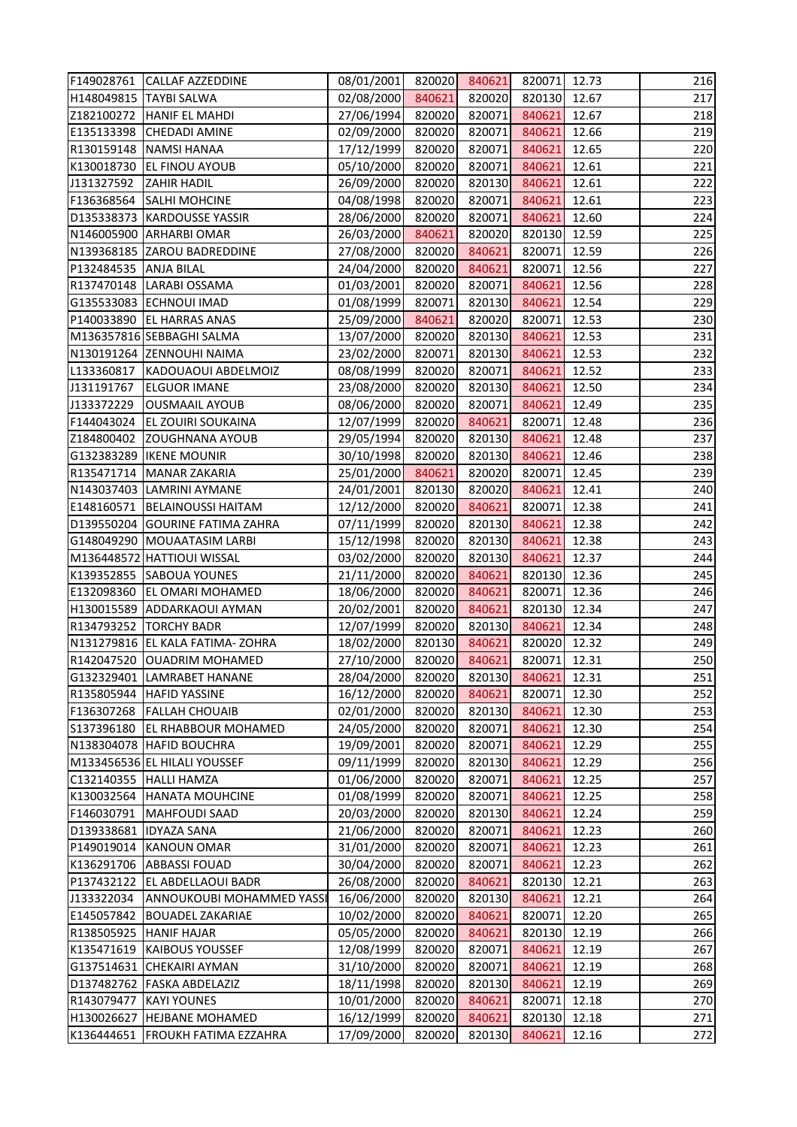|                       | F149028761 CALLAF AZZEDDINE     | 08/01/2001 | 820020 | 840621 | 820071 | 12.73 | 216 |
|-----------------------|---------------------------------|------------|--------|--------|--------|-------|-----|
|                       | H148049815   TAYBI SALWA        | 02/08/2000 | 840621 | 820020 | 820130 | 12.67 | 217 |
| Z182100272            | <b>HANIF EL MAHDI</b>           | 27/06/1994 | 820020 | 820071 | 840621 | 12.67 | 218 |
| E135133398            | <b>CHEDADI AMINE</b>            | 02/09/2000 | 820020 | 820071 | 840621 | 12.66 | 219 |
| R130159148            | NAMSI HANAA                     | 17/12/1999 | 820020 | 820071 | 840621 | 12.65 | 220 |
| K130018730            | <b>EL FINOU AYOUB</b>           | 05/10/2000 | 820020 | 820071 | 840621 | 12.61 | 221 |
| J131327592            | <b>ZAHIR HADIL</b>              | 26/09/2000 | 820020 | 820130 | 840621 | 12.61 | 222 |
| F136368564            | <b>SALHI MOHCINE</b>            | 04/08/1998 | 820020 | 820071 | 840621 | 12.61 | 223 |
|                       | D135338373 KARDOUSSE YASSIR     | 28/06/2000 | 820020 | 820071 | 840621 | 12.60 | 224 |
|                       | N146005900 ARHARBI OMAR         | 26/03/2000 | 840621 | 820020 | 820130 | 12.59 | 225 |
|                       | N139368185 ZAROU BADREDDINE     | 27/08/2000 | 820020 | 840621 | 820071 | 12.59 | 226 |
| P132484535 ANJA BILAL |                                 | 24/04/2000 | 820020 | 840621 | 820071 | 12.56 | 227 |
|                       | R137470148 LARABI OSSAMA        | 01/03/2001 | 820020 | 820071 | 840621 | 12.56 | 228 |
|                       | G135533083 ECHNOUI IMAD         | 01/08/1999 | 820071 | 820130 | 840621 | 12.54 | 229 |
|                       | P140033890 EL HARRAS ANAS       | 25/09/2000 | 840621 | 820020 | 820071 | 12.53 | 230 |
|                       | M136357816 SEBBAGHI SALMA       | 13/07/2000 | 820020 | 820130 | 840621 | 12.53 | 231 |
|                       | N130191264 ZENNOUHI NAIMA       | 23/02/2000 | 820071 | 820130 | 840621 | 12.53 | 232 |
| L133360817            | KADOUAOUI ABDELMOIZ             | 08/08/1999 | 820020 | 820071 | 840621 | 12.52 | 233 |
| J131191767            | <b>ELGUOR IMANE</b>             | 23/08/2000 | 820020 | 820130 | 840621 | 12.50 | 234 |
| J133372229            | <b>OUSMAAIL AYOUB</b>           | 08/06/2000 | 820020 | 820071 | 840621 | 12.49 | 235 |
| F144043024            | <b>EL ZOUIRI SOUKAINA</b>       | 12/07/1999 | 820020 | 840621 | 820071 | 12.48 | 236 |
| Z184800402            | <b>ZOUGHNANA AYOUB</b>          | 29/05/1994 | 820020 | 820130 | 840621 | 12.48 | 237 |
|                       | G132383289   IKENE MOUNIR       | 30/10/1998 | 820020 | 820130 | 840621 | 12.46 | 238 |
| R135471714            | MANAR ZAKARIA                   | 25/01/2000 | 840621 | 820020 | 820071 | 12.45 | 239 |
|                       | N143037403 LAMRINI AYMANE       | 24/01/2001 | 820130 | 820020 | 840621 | 12.41 | 240 |
| E148160571            | <b>BELAINOUSSI HAITAM</b>       | 12/12/2000 | 820020 | 840621 | 820071 | 12.38 | 241 |
| D139550204            | <b>GOURINE FATIMA ZAHRA</b>     | 07/11/1999 | 820020 | 820130 | 840621 | 12.38 | 242 |
| G148049290            | MOUAATASIM LARBI                | 15/12/1998 | 820020 | 820130 | 840621 | 12.38 | 243 |
|                       | M136448572 HATTIOUI WISSAL      | 03/02/2000 | 820020 | 820130 | 840621 | 12.37 | 244 |
| K139352855            | <b>SABOUA YOUNES</b>            | 21/11/2000 | 820020 | 840621 | 820130 | 12.36 | 245 |
|                       | E132098360 EL OMARI MOHAMED     | 18/06/2000 | 820020 | 840621 | 820071 | 12.36 | 246 |
|                       | H130015589 ADDARKAOUI AYMAN     | 20/02/2001 | 820020 | 840621 | 820130 | 12.34 | 247 |
| R134793252            | <b>TORCHY BADR</b>              | 12/07/1999 | 820020 | 820130 | 840621 | 12.34 | 248 |
|                       | N131279816 EL KALA FATIMA-ZOHRA | 18/02/2000 | 820130 | 840621 | 820020 | 12.32 | 249 |
| R142047520            | <b>OUADRIM MOHAMED</b>          | 27/10/2000 | 820020 | 840621 | 820071 | 12.31 | 250 |
| G132329401            | LAMRABET HANANE                 | 28/04/2000 | 820020 | 820130 | 840621 | 12.31 | 251 |
| R135805944            | <b>HAFID YASSINE</b>            | 16/12/2000 | 820020 | 840621 | 820071 | 12.30 | 252 |
| F136307268            | <b>FALLAH CHOUAIB</b>           | 02/01/2000 | 820020 | 820130 | 840621 | 12.30 | 253 |
| S137396180            | <b>EL RHABBOUR MOHAMED</b>      | 24/05/2000 | 820020 | 820071 | 840621 | 12.30 | 254 |
| N138304078            | <b>HAFID BOUCHRA</b>            | 19/09/2001 | 820020 | 820071 | 840621 | 12.29 | 255 |
|                       | M133456536 EL HILALI YOUSSEF    | 09/11/1999 | 820020 | 820130 | 840621 | 12.29 | 256 |
| C132140355            | <b>HALLI HAMZA</b>              | 01/06/2000 | 820020 | 820071 | 840621 | 12.25 | 257 |
| K130032564            | <b>HANATA MOUHCINE</b>          | 01/08/1999 | 820020 | 820071 | 840621 | 12.25 | 258 |
| F146030791            | <b>MAHFOUDI SAAD</b>            | 20/03/2000 | 820020 | 820130 | 840621 | 12.24 | 259 |
| D139338681            | <b>IDYAZA SANA</b>              | 21/06/2000 | 820020 | 820071 | 840621 | 12.23 | 260 |
| P149019014            | <b>KANOUN OMAR</b>              | 31/01/2000 | 820020 | 820071 | 840621 | 12.23 | 261 |
| K136291706            | <b>ABBASSI FOUAD</b>            | 30/04/2000 | 820020 | 820071 | 840621 | 12.23 | 262 |
| P137432122            | <b>EL ABDELLAOUI BADR</b>       | 26/08/2000 | 820020 | 840621 | 820130 | 12.21 | 263 |
| J133322034            | ANNOUKOUBI MOHAMMED YASSI       | 16/06/2000 | 820020 | 820130 | 840621 | 12.21 | 264 |
| E145057842            | <b>BOUADEL ZAKARIAE</b>         | 10/02/2000 | 820020 | 840621 | 820071 | 12.20 | 265 |
| R138505925            | <b>HANIF HAJAR</b>              | 05/05/2000 | 820020 | 840621 | 820130 | 12.19 | 266 |
| K135471619            | <b>KAIBOUS YOUSSEF</b>          | 12/08/1999 | 820020 | 820071 | 840621 | 12.19 | 267 |
| G137514631            | <b>CHEKAIRI AYMAN</b>           | 31/10/2000 | 820020 | 820071 | 840621 | 12.19 | 268 |
| D137482762            | <b>FASKA ABDELAZIZ</b>          | 18/11/1998 | 820020 | 820130 | 840621 | 12.19 | 269 |
| R143079477            | <b>KAYI YOUNES</b>              | 10/01/2000 | 820020 | 840621 | 820071 | 12.18 | 270 |
| H130026627            | <b>HEJBANE MOHAMED</b>          | 16/12/1999 | 820020 | 840621 | 820130 | 12.18 | 271 |
| K136444651            | <b>FROUKH FATIMA EZZAHRA</b>    | 17/09/2000 | 820020 | 820130 | 840621 | 12.16 | 272 |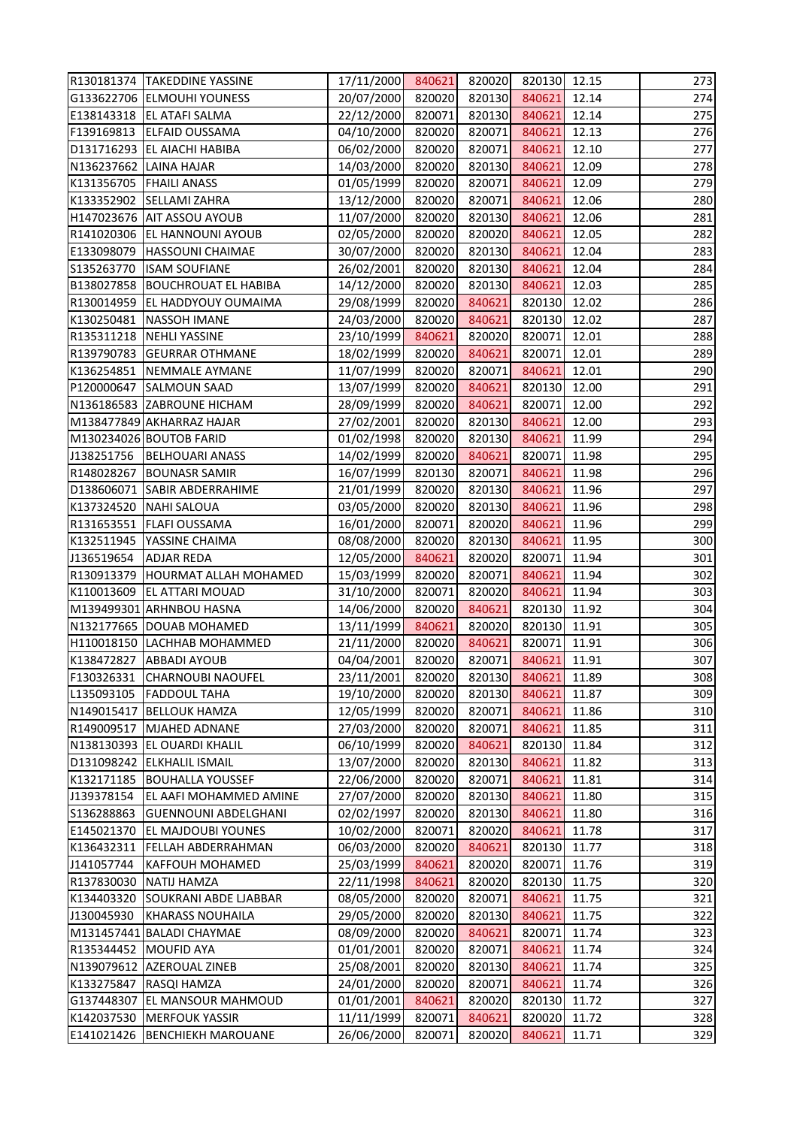|                        | R130181374 TAKEDDINE YASSINE | 17/11/2000 840621 |        | 820020 | 820130 12.15 |       | 273 |
|------------------------|------------------------------|-------------------|--------|--------|--------------|-------|-----|
|                        | G133622706 ELMOUHI YOUNESS   | 20/07/2000        | 820020 | 820130 | 840621       | 12.14 | 274 |
| E138143318             | <b>EL ATAFI SALMA</b>        | 22/12/2000        | 820071 | 820130 | 840621       | 12.14 | 275 |
| F139169813             | <b>ELFAID OUSSAMA</b>        | 04/10/2000        | 820020 | 820071 | 840621       | 12.13 | 276 |
|                        | D131716293 EL AIACHI HABIBA  | 06/02/2000        | 820020 | 820071 | 840621       | 12.10 | 277 |
| N136237662 LAINA HAJAR |                              | 14/03/2000        | 820020 | 820130 | 840621       | 12.09 | 278 |
|                        | K131356705   FHAILI ANASS    | 01/05/1999        | 820020 | 820071 | 840621       | 12.09 | 279 |
| K133352902             | <b>SELLAMI ZAHRA</b>         | 13/12/2000        | 820020 | 820071 | 840621       | 12.06 | 280 |
|                        | H147023676 AIT ASSOU AYOUB   | 11/07/2000        | 820020 | 820130 | 840621       | 12.06 | 281 |
|                        | R141020306 EL HANNOUNI AYOUB | 02/05/2000        | 820020 | 820020 | 840621       | 12.05 | 282 |
| E133098079             | <b>HASSOUNI CHAIMAE</b>      | 30/07/2000        | 820020 | 820130 | 840621       | 12.04 | 283 |
| S135263770             | <b>ISAM SOUFIANE</b>         | 26/02/2001        | 820020 | 820130 | 840621       | 12.04 | 284 |
| B138027858             | <b>BOUCHROUAT EL HABIBA</b>  | 14/12/2000        | 820020 | 820130 | 840621       | 12.03 | 285 |
| R130014959             | <b>EL HADDYOUY OUMAIMA</b>   | 29/08/1999        | 820020 | 840621 | 820130       | 12.02 | 286 |
| K130250481             | NASSOH IMANE                 | 24/03/2000        | 820020 | 840621 | 820130       | 12.02 | 287 |
|                        | R135311218 NEHLI YASSINE     | 23/10/1999        | 840621 | 820020 | 820071       | 12.01 | 288 |
| R139790783             | <b>GEURRAR OTHMANE</b>       | 18/02/1999        | 820020 | 840621 | 820071       | 12.01 | 289 |
| K136254851             | NEMMALE AYMANE               | 11/07/1999        | 820020 | 820071 | 840621       | 12.01 | 290 |
| P120000647             | <b>SALMOUN SAAD</b>          | 13/07/1999        | 820020 | 840621 | 820130       | 12.00 | 291 |
|                        | N136186583 ZABROUNE HICHAM   | 28/09/1999        | 820020 | 840621 | 820071       | 12.00 | 292 |
|                        | M138477849 AKHARRAZ HAJAR    | 27/02/2001        | 820020 | 820130 | 840621       | 12.00 | 293 |
|                        | M130234026 BOUTOB FARID      | 01/02/1998        | 820020 | 820130 | 840621       | 11.99 | 294 |
| J138251756             | <b>BELHOUARI ANASS</b>       | 14/02/1999        | 820020 | 840621 | 820071       | 11.98 | 295 |
| R148028267             | <b>BOUNASR SAMIR</b>         | 16/07/1999        | 820130 | 820071 | 840621       | 11.98 | 296 |
| D138606071             | <b>SABIR ABDERRAHIME</b>     | 21/01/1999        | 820020 | 820130 | 840621       | 11.96 | 297 |
| K137324520             | NAHI SALOUA                  | 03/05/2000        | 820020 | 820130 | 840621       | 11.96 | 298 |
| R131653551             | <b>FLAFI OUSSAMA</b>         | 16/01/2000        | 820071 | 820020 | 840621       | 11.96 | 299 |
| K132511945             | YASSINE CHAIMA               | 08/08/2000        | 820020 | 820130 | 840621       | 11.95 | 300 |
| J136519654             | <b>ADJAR REDA</b>            | 12/05/2000        | 840621 | 820020 | 820071       | 11.94 | 301 |
| R130913379             | <b>HOURMAT ALLAH MOHAMED</b> | 15/03/1999        | 820020 | 820071 | 840621       | 11.94 | 302 |
| K110013609             | <b>EL ATTARI MOUAD</b>       | 31/10/2000        | 820071 | 820020 | 840621       | 11.94 | 303 |
|                        | M139499301 ARHNBOU HASNA     | 14/06/2000        | 820020 | 840621 | 820130 11.92 |       | 304 |
|                        | N132177665 DOUAB MOHAMED     | 13/11/1999        | 840621 | 820020 | 820130       | 11.91 | 305 |
| H110018150             | LACHHAB MOHAMMED             | 21/11/2000        | 820020 | 840621 | 820071       | 11.91 | 306 |
| K138472827             | <b>ABBADI AYOUB</b>          | 04/04/2001        | 820020 | 820071 | 840621       | 11.91 | 307 |
| F130326331             | <b>CHARNOUBI NAOUFEL</b>     | 23/11/2001        | 820020 | 820130 | 840621       | 11.89 | 308 |
| L135093105             | <b>FADDOUL TAHA</b>          | 19/10/2000        | 820020 | 820130 | 840621       | 11.87 | 309 |
| N149015417             | <b>BELLOUK HAMZA</b>         | 12/05/1999        | 820020 | 820071 | 840621       | 11.86 | 310 |
| R149009517             | MJAHED ADNANE                | 27/03/2000        | 820020 | 820071 | 840621       | 11.85 | 311 |
| N138130393             | <b>EL OUARDI KHALIL</b>      | 06/10/1999        | 820020 | 840621 | 820130       | 11.84 | 312 |
| D131098242             | <b>ELKHALIL ISMAIL</b>       | 13/07/2000        | 820020 | 820130 | 840621       | 11.82 | 313 |
| K132171185             | <b>BOUHALLA YOUSSEF</b>      | 22/06/2000        | 820020 | 820071 | 840621       | 11.81 | 314 |
| J139378154             | EL AAFI MOHAMMED AMINE       | 27/07/2000        | 820020 | 820130 | 840621       | 11.80 | 315 |
| S136288863             | <b>GUENNOUNI ABDELGHANI</b>  | 02/02/1997        | 820020 | 820130 | 840621       | 11.80 | 316 |
| E145021370             | EL MAJDOUBI YOUNES           | 10/02/2000        | 820071 | 820020 | 840621       | 11.78 | 317 |
| K136432311             | <b>FELLAH ABDERRAHMAN</b>    | 06/03/2000        | 820020 | 840621 | 820130       | 11.77 | 318 |
| J141057744             | <b>KAFFOUH MOHAMED</b>       | 25/03/1999        | 840621 | 820020 | 820071       | 11.76 | 319 |
| R137830030             | <b>NATIJ HAMZA</b>           | 22/11/1998        | 840621 | 820020 | 820130       | 11.75 | 320 |
| K134403320             | <b>SOUKRANI ABDE LJABBAR</b> | 08/05/2000        | 820020 | 820071 | 840621       | 11.75 | 321 |
| J130045930             | <b>KHARASS NOUHAILA</b>      | 29/05/2000        | 820020 | 820130 | 840621       | 11.75 | 322 |
|                        | M131457441 BALADI CHAYMAE    | 08/09/2000        | 820020 | 840621 | 820071       | 11.74 | 323 |
| R135344452             | MOUFID AYA                   | 01/01/2001        | 820020 | 820071 | 840621       | 11.74 | 324 |
| N139079612             | AZEROUAL ZINEB               | 25/08/2001        | 820020 | 820130 | 840621       | 11.74 | 325 |
| K133275847             | <b>RASQI HAMZA</b>           | 24/01/2000        | 820020 | 820071 | 840621       | 11.74 | 326 |
| G137448307             | <b>EL MANSOUR MAHMOUD</b>    | 01/01/2001        | 840621 | 820020 | 820130       | 11.72 | 327 |
| K142037530             | <b>MERFOUK YASSIR</b>        | 11/11/1999        | 820071 | 840621 | 820020       | 11.72 | 328 |
| E141021426             | <b>BENCHIEKH MAROUANE</b>    | 26/06/2000        | 820071 | 820020 | 840621       | 11.71 | 329 |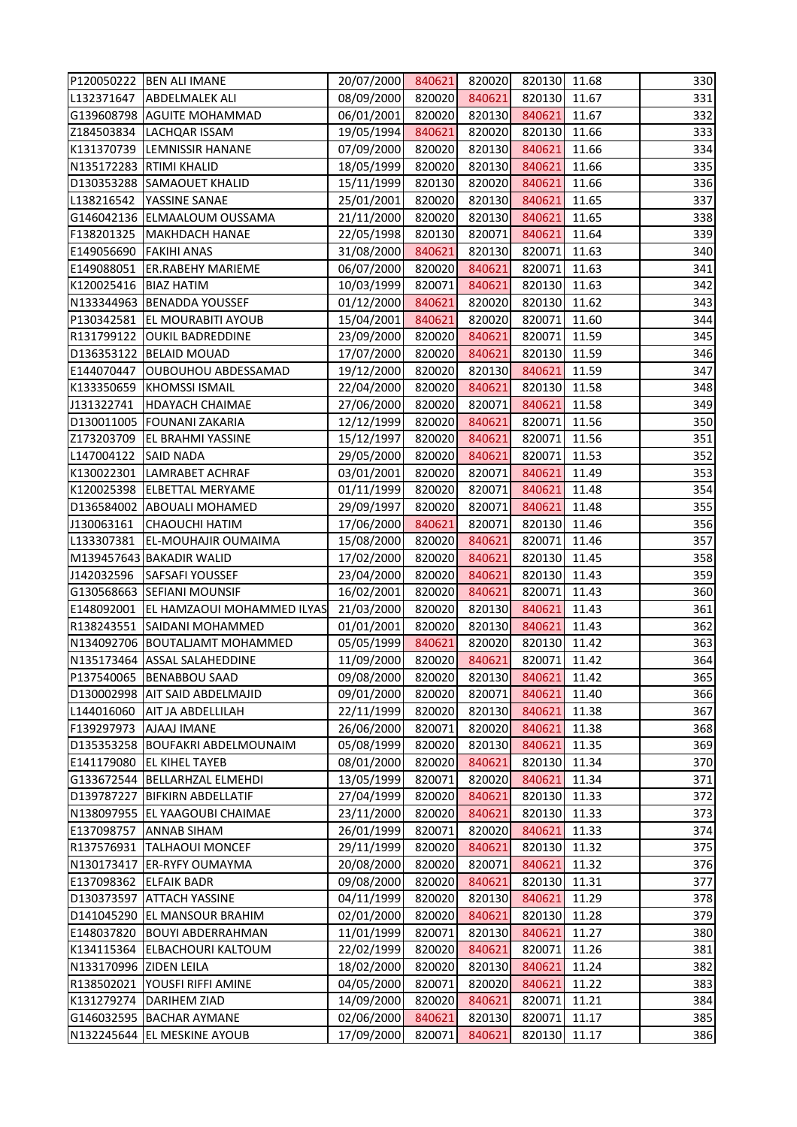|                        | P120050222   BEN ALI IMANE              | 20/07/2000 | 840621 | 820020 | 820130 | 11.68 | 330 |
|------------------------|-----------------------------------------|------------|--------|--------|--------|-------|-----|
| L132371647             | <b>ABDELMALEK ALI</b>                   | 08/09/2000 | 820020 | 840621 | 820130 | 11.67 | 331 |
| G139608798             | <b>AGUITE MOHAMMAD</b>                  | 06/01/2001 | 820020 | 820130 | 840621 | 11.67 | 332 |
| Z184503834             | <b>LACHQAR ISSAM</b>                    | 19/05/1994 | 840621 | 820020 | 820130 | 11.66 | 333 |
| K131370739             | <b>LEMNISSIR HANANE</b>                 | 07/09/2000 | 820020 | 820130 | 840621 | 11.66 | 334 |
|                        | N135172283 RTIMI KHALID                 | 18/05/1999 | 820020 | 820130 | 840621 | 11.66 | 335 |
|                        | D130353288 SAMAOUET KHALID              | 15/11/1999 | 820130 | 820020 | 840621 | 11.66 | 336 |
| L138216542             | YASSINE SANAE                           | 25/01/2001 | 820020 | 820130 | 840621 | 11.65 | 337 |
|                        | G146042136 ELMAALOUM OUSSAMA            | 21/11/2000 | 820020 | 820130 | 840621 | 11.65 | 338 |
| F138201325             | MAKHDACH HANAE                          | 22/05/1998 | 820130 | 820071 | 840621 | 11.64 | 339 |
| E149056690             | <b>FAKIHI ANAS</b>                      | 31/08/2000 | 840621 | 820130 | 820071 | 11.63 | 340 |
| E149088051             | <b>ER.RABEHY MARIEME</b>                | 06/07/2000 | 820020 | 840621 | 820071 | 11.63 | 341 |
| K120025416             | <b>BIAZ HATIM</b>                       | 10/03/1999 | 820071 | 840621 | 820130 | 11.63 | 342 |
|                        | N133344963 BENADDA YOUSSEF              | 01/12/2000 | 840621 | 820020 | 820130 | 11.62 | 343 |
| P130342581             | <b>EL MOURABITI AYOUB</b>               | 15/04/2001 | 840621 | 820020 | 820071 | 11.60 | 344 |
| R131799122             | <b>OUKIL BADREDDINE</b>                 | 23/09/2000 | 820020 | 840621 | 820071 | 11.59 | 345 |
| D136353122             | <b>BELAID MOUAD</b>                     | 17/07/2000 | 820020 | 840621 | 820130 | 11.59 | 346 |
| E144070447             | <b>OUBOUHOU ABDESSAMAD</b>              | 19/12/2000 | 820020 | 820130 | 840621 | 11.59 | 347 |
| K133350659             | <b>KHOMSSI ISMAIL</b>                   | 22/04/2000 | 820020 | 840621 | 820130 | 11.58 | 348 |
| J131322741             | <b>HDAYACH CHAIMAE</b>                  | 27/06/2000 | 820020 | 820071 | 840621 | 11.58 | 349 |
| D130011005             | <b>FOUNANI ZAKARIA</b>                  | 12/12/1999 | 820020 | 840621 | 820071 | 11.56 | 350 |
| Z173203709             | <b>EL BRAHMI YASSINE</b>                | 15/12/1997 | 820020 | 840621 | 820071 | 11.56 | 351 |
| L147004122             | <b>SAID NADA</b>                        | 29/05/2000 | 820020 | 840621 | 820071 | 11.53 | 352 |
| K130022301             | LAMRABET ACHRAF                         | 03/01/2001 | 820020 | 820071 | 840621 | 11.49 | 353 |
| K120025398             | <b>ELBETTAL MERYAME</b>                 | 01/11/1999 | 820020 | 820071 | 840621 | 11.48 | 354 |
| D136584002             | <b>ABOUALI MOHAMED</b>                  | 29/09/1997 | 820020 | 820071 | 840621 | 11.48 | 355 |
| J130063161             | CHAOUCHI HATIM                          | 17/06/2000 | 840621 | 820071 | 820130 | 11.46 | 356 |
| L133307381             | <b>EL-MOUHAJIR OUMAIMA</b>              | 15/08/2000 | 820020 | 840621 | 820071 | 11.46 | 357 |
|                        | M139457643 BAKADIR WALID                | 17/02/2000 | 820020 | 840621 | 820130 | 11.45 | 358 |
| J142032596             | <b>SAFSAFI YOUSSEF</b>                  | 23/04/2000 | 820020 | 840621 | 820130 | 11.43 | 359 |
|                        | G130568663 SEFIANI MOUNSIF              | 16/02/2001 | 820020 | 840621 | 820071 | 11.43 | 360 |
|                        | E148092001   EL HAMZAOUI MOHAMMED ILYAS | 21/03/2000 | 820020 | 820130 | 840621 | 11.43 | 361 |
| R138243551             | <b>SAIDANI MOHAMMED</b>                 | 01/01/2001 | 820020 | 820130 | 840621 | 11.43 | 362 |
|                        | N134092706 BOUTALJAMT MOHAMMED          | 05/05/1999 | 840621 | 820020 | 820130 | 11.42 | 363 |
| N135173464             | <b>ASSAL SALAHEDDINE</b>                | 11/09/2000 | 820020 | 840621 | 820071 | 11.42 | 364 |
| P137540065             | <b>BENABBOU SAAD</b>                    | 09/08/2000 | 820020 | 820130 | 840621 | 11.42 | 365 |
| D130002998             | <b>AIT SAID ABDELMAJID</b>              | 09/01/2000 | 820020 | 820071 | 840621 | 11.40 | 366 |
| L144016060             | AIT JA ABDELLILAH                       | 22/11/1999 | 820020 | 820130 | 840621 | 11.38 | 367 |
| F139297973             | AJAAJ IMANE                             | 26/06/2000 | 820071 | 820020 | 840621 | 11.38 | 368 |
| D135353258             | <b>BOUFAKRI ABDELMOUNAIM</b>            | 05/08/1999 | 820020 | 820130 | 840621 | 11.35 | 369 |
| E141179080             | <b>EL KIHEL TAYEB</b>                   | 08/01/2000 | 820020 | 840621 | 820130 | 11.34 | 370 |
| G133672544             | BELLARHZAL ELMEHDI                      | 13/05/1999 | 820071 | 820020 | 840621 | 11.34 | 371 |
| D139787227             | <b>BIFKIRN ABDELLATIF</b>               | 27/04/1999 | 820020 | 840621 | 820130 | 11.33 | 372 |
|                        | N138097955 EL YAAGOUBI CHAIMAE          | 23/11/2000 | 820020 | 840621 | 820130 | 11.33 | 373 |
| E137098757             | <b>ANNAB SIHAM</b>                      | 26/01/1999 | 820071 | 820020 | 840621 | 11.33 | 374 |
| R137576931             | <b>TALHAOUI MONCEF</b>                  | 29/11/1999 | 820020 | 840621 | 820130 | 11.32 | 375 |
| N130173417             | <b>ER-RYFY OUMAYMA</b>                  | 20/08/2000 | 820020 | 820071 | 840621 | 11.32 | 376 |
| E137098362             | <b>ELFAIK BADR</b>                      | 09/08/2000 | 820020 | 840621 | 820130 | 11.31 | 377 |
| D130373597             | <b>ATTACH YASSINE</b>                   | 04/11/1999 | 820020 | 820130 | 840621 | 11.29 | 378 |
| D141045290             | <b>EL MANSOUR BRAHIM</b>                | 02/01/2000 | 820020 | 840621 | 820130 | 11.28 | 379 |
| E148037820             | <b>BOUYI ABDERRAHMAN</b>                | 11/01/1999 | 820071 | 820130 | 840621 | 11.27 | 380 |
| K134115364             | <b>ELBACHOURI KALTOUM</b>               | 22/02/1999 | 820020 | 840621 | 820071 | 11.26 | 381 |
| N133170996 ZIDEN LEILA |                                         | 18/02/2000 | 820020 | 820130 | 840621 | 11.24 | 382 |
| R138502021             | YOUSFI RIFFI AMINE                      | 04/05/2000 | 820071 | 820020 | 840621 | 11.22 | 383 |
| K131279274             | <b>DARIHEM ZIAD</b>                     | 14/09/2000 | 820020 | 840621 | 820071 | 11.21 | 384 |
| G146032595             | <b>BACHAR AYMANE</b>                    | 02/06/2000 | 840621 | 820130 | 820071 | 11.17 | 385 |
| N132245644             | <b>EL MESKINE AYOUB</b>                 | 17/09/2000 | 820071 | 840621 | 820130 | 11.17 | 386 |